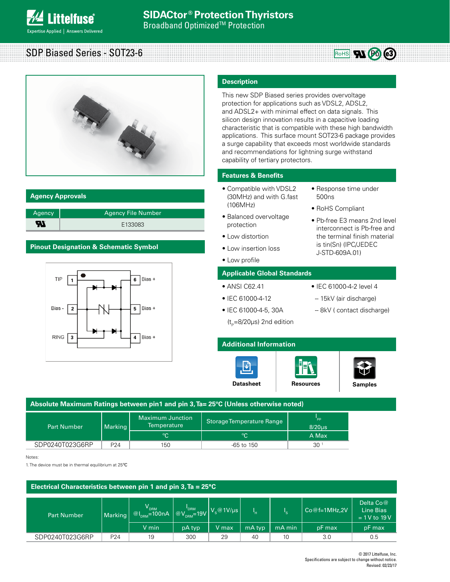

# SDP Biased Series - SOT23-6



# **Agency Approvals**

| Agency | Agency File Number' |
|--------|---------------------|
| Ж      | E133083             |

# **Pinout Designation & Schematic Symbol**



# **Description**

This new SDP Biased series provides overvoltage protection for applications such as VDSL2, ADSL2, and ADSL2+ with minimal effect on data signals. This silicon design innovation results in a capacitive loading characteristic that is compatible with these high bandwidth applications. This surface mount SOT23-6 package provides a surge capability that exceeds most worldwide standards and recommendations for lightning surge withstand capability of tertiary protectors.

# **Features & Benefits**

- Compatible with VDSL2 (30MHz) and with G.fast (106MHz)
- Response time under 500ns

• Pb-free E3 means 2nd level interconnect is Pb-free and the terminal finish material is tin(Sn) (IPC/JEDEC J-STD-609A.01)

**RoHS 71 26 (3)** 

- RoHS Compliant
- Balanced overvoltage protection
- Low distortion
- Low insertion loss
- Low profile

# **Applicable Global Standards**

- ANSI C62.41
- IEC 61000-4-12
- IEC 61000-4-2 level 4
- -- 15kV (air discharge)
- IEC 61000-4-5, 30A
- -- 8kV ( contact discharge)
- $(t<sub>e</sub>=8/20\mu s)$  2nd edition

# **Additional Information**





| Absolute Maximum Ratings between pin1 and pin 3, Ta= 25°C (Unless otherwise noted) |                 |                                               |                           |                   |  |
|------------------------------------------------------------------------------------|-----------------|-----------------------------------------------|---------------------------|-------------------|--|
| <b>Part Number</b>                                                                 | Marking         | <b>Maximum Junction</b><br><b>Temperature</b> | Storage Temperature Range | pp<br>$8/20\mu s$ |  |
|                                                                                    |                 | $^{\circ}C$                                   | <b>PC</b>                 | A Max             |  |
| SDP0240T023G6RP                                                                    | P <sub>24</sub> | 150                                           | $-65$ to 150              | 30 <sup>1</sup>   |  |

Notes:

1. The device must be in thermal equilibrium at 25ºC

| Electrical Characteristics between pin 1 and pin 3, $Ta = 25^{\circ}C$ |                 |                                                                                                                                                                   |                                                                                   |       |        |        |                |                                             |
|------------------------------------------------------------------------|-----------------|-------------------------------------------------------------------------------------------------------------------------------------------------------------------|-----------------------------------------------------------------------------------|-------|--------|--------|----------------|---------------------------------------------|
| <b>Part Number</b>                                                     | Marking         | $\left \begin{array}{cc} \mathsf{V}_{_{\sf DRM}}\ \textcircled{{\sf R}}\ \textcircled{{\sf R}}\ \textcircled{{\sf R}}\ \textcircled{{\sf R}}\ \end{array}\right $ | $\sqrt{\omega_{\textrm{DRM}}}\textrm{19V}$ $V_{\textrm{s}}$ $@$ $1$ V/µs $\omega$ |       | ۱н.    |        | $Co@f=1MHz,2V$ | Delta $Co@$<br>Line Bias<br>$= 1 V$ to 19 V |
|                                                                        |                 | V min                                                                                                                                                             | pA typ                                                                            | V max | mA typ | mA min | pF max         | pF max                                      |
| SDP0240T023G6RP                                                        | P <sub>24</sub> | 19                                                                                                                                                                | 300                                                                               | 29    | 40     | 10     | 3.0            | 0.5                                         |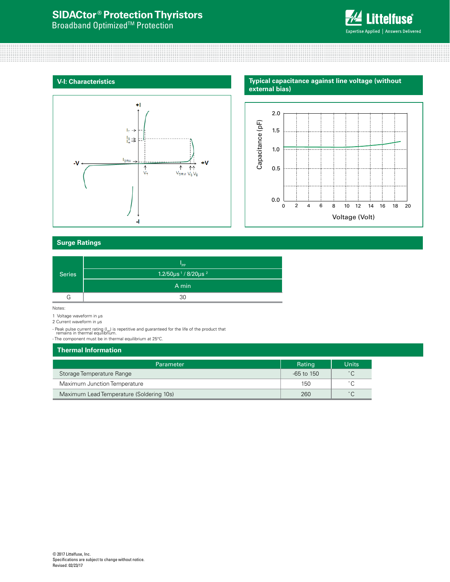# **SIDACtor ® Protection Thyristors**

**Broadband Optimized<sup>™</sup> Protection** 



## **V-I: Characteristics**



# **Surge Ratings**

|               | "PP                                                    |
|---------------|--------------------------------------------------------|
| <b>Series</b> | $1.2/50 \mu s$ <sup>1</sup> /8/20 $\mu s$ <sup>2</sup> |
|               | A min                                                  |
|               | 30                                                     |

Notes:

1 Voltage waveform in µs

2 Current waveform in µs

- Peak pulse current rating (I<sub>PP</sub>) is repetitive and guaranteed for the life of the product that<br>remains in thermal equilibrium.<br>- The component must be in thermal equilibrium at 25°C.

# **Thermal Information**

| <b>Parameter</b>                         | Rating         | <b>Units</b>      |
|------------------------------------------|----------------|-------------------|
| Storage Temperature Range                | $-65$ to $150$ | $^{\circ}$ $\cap$ |
| Maximum Junction Temperature             | 150            | $\circ$ $\sim$    |
| Maximum Lead Temperature (Soldering 10s) | 260            | $\hat{ }$         |

**Typical capacitance against line voltage (without external bias)**

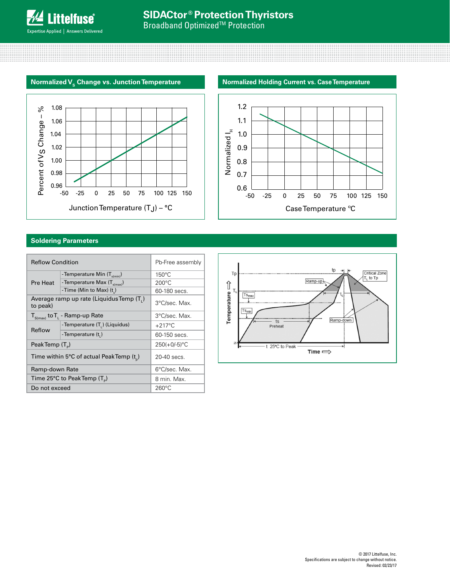**Broadband Optimized<sup>™</sup> Protection** 







# **Soldering Parameters**

| <b>Reflow Condition</b>                     | Pb-Free assembly                         |                  |  |
|---------------------------------------------|------------------------------------------|------------------|--|
|                                             | -Temperature Min $(T_{s(min)})$          | $150^{\circ}$ C  |  |
| Pre Heat                                    | -Temperature Max (T <sub>s(max)</sub> )  | $200^{\circ}$ C  |  |
|                                             | -Time (Min to Max) $(t_n)$               | 60-180 secs.     |  |
| to peak)                                    | Average ramp up rate (Liquidus Temp (T.) | 3°C/sec. Max.    |  |
| $T_{S(max)}$ to $T_{L}$ - Ramp-up Rate      |                                          | 3°C/sec. Max.    |  |
| Reflow                                      | -Temperature (T.) (Liquidus)             | $+217^{\circ}$ C |  |
|                                             | -Temperature (t,)                        | 60-150 secs.     |  |
| PeakTemp (T <sub>a</sub> )                  |                                          | $250(+0/-5)$ °C  |  |
| Time within 5°C of actual Peak Temp $(t_0)$ |                                          | 20-40 secs.      |  |
| Ramp-down Rate                              |                                          | 6°C/sec. Max.    |  |
| Time 25°C to Peak Temp $(T_p)$              |                                          | 8 min. Max.      |  |
| Do not exceed                               |                                          | $260^{\circ}$ C  |  |

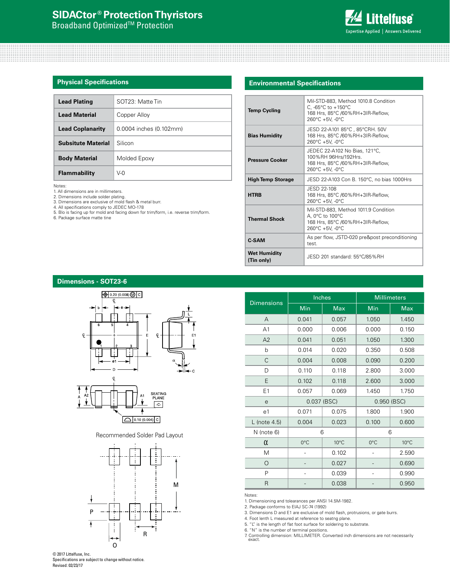# **SIDACtor ® Protection Thyristors**

**Broadband Optimized<sup>™</sup> Protection** 



## **Physical Specifications**

| <b>Lead Plating</b>       | $SOT23 \cdot \text{Matte Tin}$ |  |
|---------------------------|--------------------------------|--|
| <b>Lead Material</b>      | Copper Alloy                   |  |
| <b>Lead Coplanarity</b>   | 0.0004 inches (0.102mm)        |  |
| <b>Subsitute Material</b> | Silicon                        |  |
| <b>Body Material</b>      | Molded Epoxy                   |  |
| Flammability              | V-0                            |  |

Notes:

1. All dimensions are in millimeters. 2. Dimensions include solder plating. 3. Dimensions are exclusive of mold flash & metal burr.

4. All specifications comply to JEDEC MO-178

5. Blo is facing up for mold and facing down for trim/form, i.e. reverse trim/form. 6. Package surface matte tine

## **Environmental Specifications**

| <b>Temp Cycling</b>               | Mil-STD-883, Method 1010.8 Condition<br>C, -65 $^{\circ}$ C to +150 $^{\circ}$ C<br>168 Hrs, 85°C /60%RH+3IR-Reflow,<br>260°C +5V, -0°C |  |
|-----------------------------------|-----------------------------------------------------------------------------------------------------------------------------------------|--|
| <b>Bias Humidity</b>              | JESD 22-A101 85°C, 85°CRH. 50V<br>168 Hrs, 85°C /60%RH+3IR-Reflow,<br>260°C +5V. -0°C                                                   |  |
| <b>Pressure Cooker</b>            | JEDEC 22-A102 No Bias, 121°C,<br>100%RH 96Hrs/192Hrs.<br>168 Hrs, 85°C /60%RH+3IR-Reflow,<br>260°C +5V, -0°C                            |  |
| <b>High Temp Storage</b>          | JESD 22-A103 Con B. 150°C, no bias 1000Hrs                                                                                              |  |
| <b>HTRB</b>                       | JESD 22-108<br>168 Hrs, 85°C /60%RH+3IR-Reflow,<br>$260^{\circ}$ C +5V. -0 $^{\circ}$ C                                                 |  |
| <b>Thermal Shock</b>              | Mil-STD-883, Method 1011.9 Condition<br>A, 0°C to 100°C<br>168 Hrs, 85°C /60%RH+3IR-Reflow,<br>260°C +5V, -0°C                          |  |
| C-SAM                             | As per flow, JSTD-020 pre&post preconditioning<br>test.                                                                                 |  |
| <b>Wet Humidity</b><br>(Tin only) | JESD 201 standard: 55°C/85%RH                                                                                                           |  |

### **Dimensions - SOT23-6**



Recommended Solder Pad Layout



| <b>Dimensions</b> |               | Inches         |               | <b>Millimeters</b> |
|-------------------|---------------|----------------|---------------|--------------------|
|                   | Min           | <b>Max</b>     | Min           | <b>Max</b>         |
| A                 | 0.041         | 0.057          | 1.050         | 1.450              |
| A <sub>1</sub>    | 0.000         | 0.006          | 0.000         | 0.150              |
| A2                | 0.041         | 0.051          | 1.050         | 1.300              |
| b                 | 0.014         | 0.020          | 0.350         | 0.508              |
| C                 | 0.004         | 0.008          | 0.090         | 0.200              |
| D                 | 0.110         | 0.118          | 2.800         | 3.000              |
| E                 | 0.102         | 0.118          | 2.600         | 3.000              |
| E1                | 0.057         | 0.069          | 1.450         | 1.750              |
| e                 |               | 0.037 (BSC)    | 0.950 (BSC)   |                    |
| e1                | 0.071         | 0.075          | 1.800         | 1.900              |
| $L$ (note 4.5)    | 0.004         | 0.023          | 0.100         | 0.600              |
| N (note 6)        | 6             |                |               | 6                  |
| $\alpha$          | $0^{\circ}$ C | $10^{\circ}$ C | $0^{\circ}$ C | $10^{\circ}$ C     |
| M                 |               | 0.102          |               | 2.590              |
| $\Omega$          |               | 0.027          |               | 0.690              |
| P                 |               | 0.039          |               | 0.990              |
| R                 |               | 0.038          |               | 0.950              |

Notes:

1. Dimensioning and tolearances per ANSI 14.5M-1982.

2. Package conforms to EIAJ SC-74 (1992)

3. Dimensions D and E1 are exclusive of mold flash, protrusions, or gate burrs.

4. Foot lenth L measured at reference to seatng plane.

5. "L" is the length of flat foot surface for soldering to substrate.<br>6. "N" is the number of terminal positions.

6. "N" is the number of terminal positions.<br>7. Controlling dimension: MILLIMETER. Converted inch dimensions are not necessarily<br>— exact.

© 2017 Littelfuse, Inc. Specifications are subject to change without notice. Revised: 02/23/17